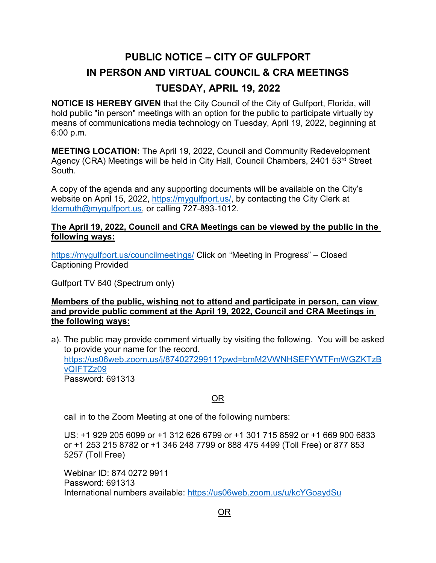## **PUBLIC NOTICE – CITY OF GULFPORT IN PERSON AND VIRTUAL COUNCIL & CRA MEETINGS TUESDAY, APRIL 19, 2022**

**NOTICE IS HEREBY GIVEN** that the City Council of the City of Gulfport, Florida, will hold public "in person" meetings with an option for the public to participate virtually by means of communications media technology on Tuesday, April 19, 2022, beginning at 6:00 p.m.

**MEETING LOCATION:** The April 19, 2022, Council and Community Redevelopment Agency (CRA) Meetings will be held in City Hall, Council Chambers, 2401 53<sup>rd</sup> Street South.

A copy of the agenda and any supporting documents will be available on the City's website on April 15, 2022, [https://mygulfport.us/,](https://mygulfport.us/) by contacting the City Clerk at [ldemuth@mygulfport.us,](mailto:ldemuth@mygulfport.us) or calling 727-893-1012.

## **The April 19, 2022, Council and CRA Meetings can be viewed by the public in the following ways:**

<https://mygulfport.us/councilmeetings/> Click on "Meeting in Progress" – Closed Captioning Provided

Gulfport TV 640 (Spectrum only)

## **Members of the public, wishing not to attend and participate in person, can view and provide public comment at the April 19, 2022, Council and CRA Meetings in the following ways:**

a). The public may provide comment virtually by visiting the following. You will be asked to provide your name for the record. [https://us06web.zoom.us/j/87402729911?pwd=bmM2VWNHSEFYWTFmWGZKTzB](https://us06web.zoom.us/j/87402729911?pwd=bmM2VWNHSEFYWTFmWGZKTzBvQIFTZz09) [vQIFTZz09](https://us06web.zoom.us/j/87402729911?pwd=bmM2VWNHSEFYWTFmWGZKTzBvQIFTZz09) Password: 691313

## OR

call in to the Zoom Meeting at one of the following numbers:

US: +1 929 205 6099 or +1 312 626 6799 or +1 301 715 8592 or +1 669 900 6833 or +1 253 215 8782 or +1 346 248 7799 or 888 475 4499 (Toll Free) or 877 853 5257 (Toll Free)

Webinar ID: 874 0272 9911 Password: 691313 International numbers available:<https://us06web.zoom.us/u/kcYGoaydSu>